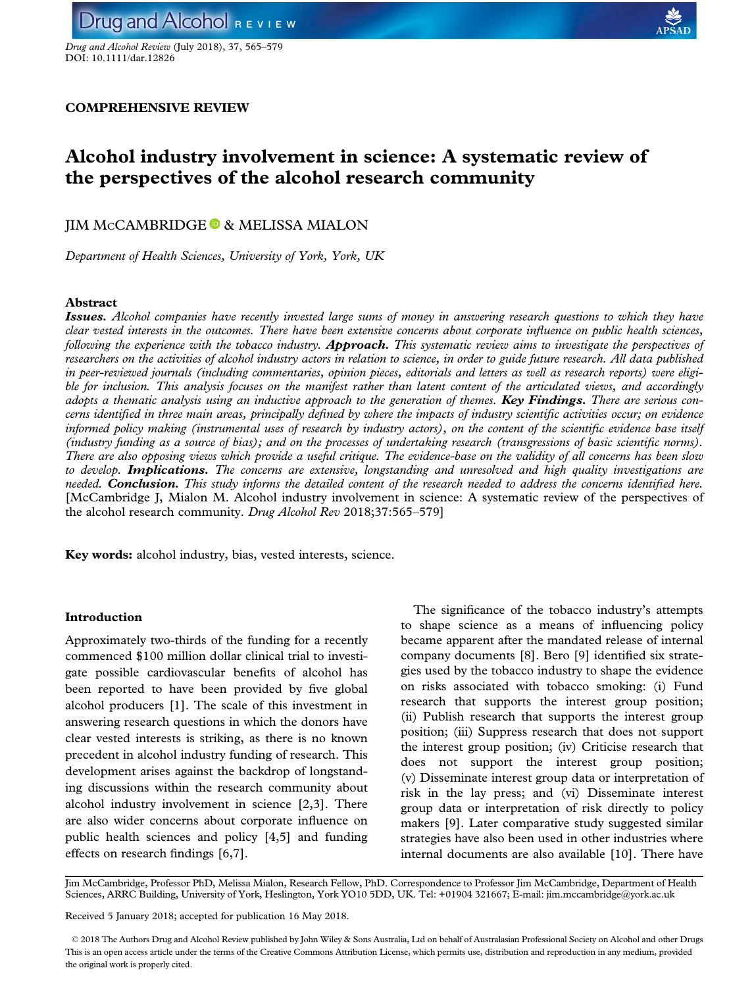Drug and Alcohol Review (July 2018), 37, 565–579 DOI: 10.1111/dar.12826

## COMPREHENSIVE REVIEW

# Alcohol industry involvement in science: A systematic review of the perspectives of the alcohol research community

JIM MCCAMBRIDGE & MELISSA MIALON

Department of Health Sciences, University of York, York, UK

# Abstract

Issues. Alcohol companies have recently invested large sums of money in answering research questions to which they have clear vested interests in the outcomes. There have been extensive concerns about corporate influence on public health sciences, following the experience with the tobacco industry. **Approach.** This systematic review aims to investigate the perspectives of researchers on the activities of alcohol industry actors in relation to science, in order to guide future research. All data published in peer-reviewed journals (including commentaries, opinion pieces, editorials and letters as well as research reports) were eligible for inclusion. This analysis focuses on the manifest rather than latent content of the articulated views, and accordingly adopts a thematic analysis using an inductive approach to the generation of themes. Key Findings. There are serious concerns identified in three main areas, principally defined by where the impacts of industry scientific activities occur; on evidence informed policy making (instrumental uses of research by industry actors), on the content of the scientific evidence base itself (industry funding as a source of bias); and on the processes of undertaking research (transgressions of basic scientific norms). There are also opposing views which provide a useful critique. The evidence-base on the validity of all concerns has been slow to develop. **Implications.** The concerns are extensive, longstanding and unresolved and high quality investigations are needed. Conclusion. This study informs the detailed content of the research needed to address the concerns identified here. [McCambridge J, Mialon M. Alcohol industry involvement in science: A systematic review of the perspectives of the alcohol research community. Drug Alcohol Rev 2018;37:565–579]

Key words: alcohol industry, bias, vested interests, science.

### Introduction

Approximately two-thirds of the funding for a recently commenced \$100 million dollar clinical trial to investigate possible cardiovascular benefits of alcohol has been reported to have been provided by five global alcohol producers [1]. The scale of this investment in answering research questions in which the donors have clear vested interests is striking, as there is no known precedent in alcohol industry funding of research. This development arises against the backdrop of longstanding discussions within the research community about alcohol industry involvement in science [2,3]. There are also wider concerns about corporate influence on public health sciences and policy [4,5] and funding effects on research findings [6,7].

The significance of the tobacco industry's attempts to shape science as a means of influencing policy became apparent after the mandated release of internal company documents [8]. Bero [9] identified six strategies used by the tobacco industry to shape the evidence on risks associated with tobacco smoking: (i) Fund research that supports the interest group position; (ii) Publish research that supports the interest group position; (iii) Suppress research that does not support the interest group position; (iv) Criticise research that does not support the interest group position; (v) Disseminate interest group data or interpretation of risk in the lay press; and (vi) Disseminate interest group data or interpretation of risk directly to policy makers [9]. Later comparative study suggested similar strategies have also been used in other industries where internal documents are also available [10]. There have

Jim McCambridge, Professor PhD, Melissa Mialon, Research Fellow, PhD. Correspondence to Professor Jim McCambridge, Department of Health Sciences, ARRC Building, University of York, Heslington, York YO10 5DD, UK. Tel: +01904 321667; E-mail: [jim.mccambridge@york.ac.uk](mailto:jim.mccambridge@york.ac.uk)

Received 5 January 2018; accepted for publication 16 May 2018.

© 2018 The Authors Drug and Alcohol Review published by John Wiley & Sons Australia, Ltd on behalf of Australasian Professional Society on Alcohol and other Drugs This is an open access article under the terms of the [Creative Commons Attribution](http://creativecommons.org/licenses/by/4.0/) License, which permits use, distribution and reproduction in any medium, provided the original work is properly cited.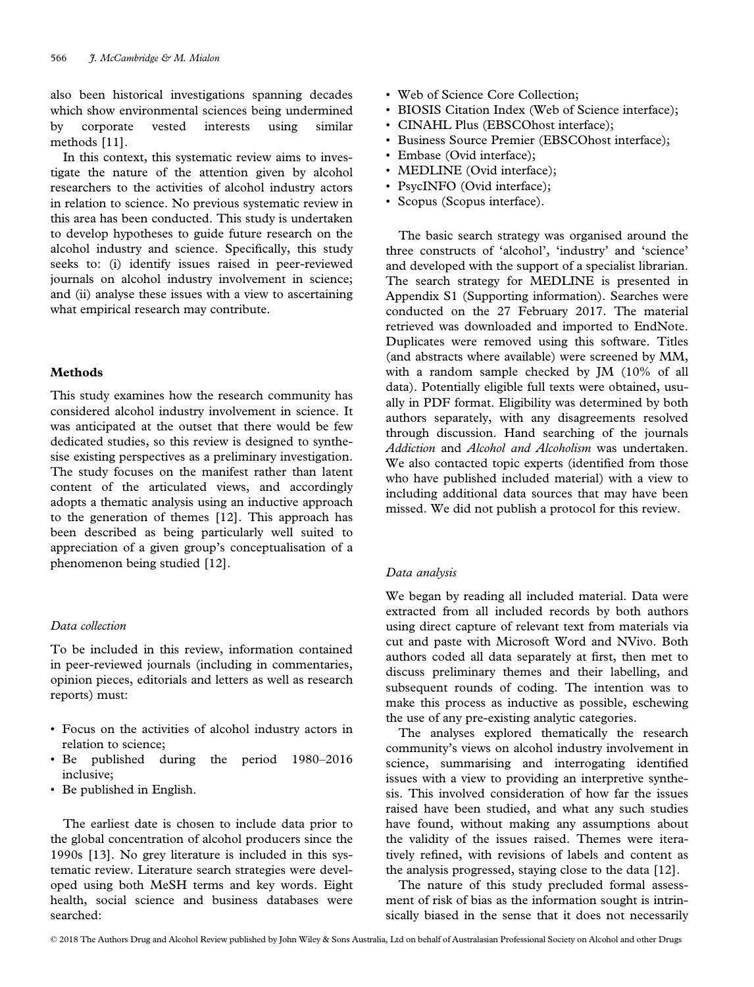also been historical investigations spanning decades which show environmental sciences being undermined by corporate vested interests using similar methods [11].

In this context, this systematic review aims to investigate the nature of the attention given by alcohol researchers to the activities of alcohol industry actors in relation to science. No previous systematic review in this area has been conducted. This study is undertaken to develop hypotheses to guide future research on the alcohol industry and science. Specifically, this study seeks to: (i) identify issues raised in peer-reviewed journals on alcohol industry involvement in science; and (ii) analyse these issues with a view to ascertaining what empirical research may contribute.

# **Methods**

This study examines how the research community has considered alcohol industry involvement in science. It was anticipated at the outset that there would be few dedicated studies, so this review is designed to synthesise existing perspectives as a preliminary investigation. The study focuses on the manifest rather than latent content of the articulated views, and accordingly adopts a thematic analysis using an inductive approach to the generation of themes [12]. This approach has been described as being particularly well suited to appreciation of a given group's conceptualisation of a phenomenon being studied [12].

### Data collection

To be included in this review, information contained in peer-reviewed journals (including in commentaries, opinion pieces, editorials and letters as well as research reports) must:

- Focus on the activities of alcohol industry actors in relation to science;
- Be published during the period 1980–2016 inclusive;
- Be published in English.

The earliest date is chosen to include data prior to the global concentration of alcohol producers since the 1990s [13]. No grey literature is included in this systematic review. Literature search strategies were developed using both MeSH terms and key words. Eight health, social science and business databases were searched:

- Web of Science Core Collection;
- BIOSIS Citation Index (Web of Science interface);
- CINAHL Plus (EBSCOhost interface);
- Business Source Premier (EBSCOhost interface);
- Embase (Ovid interface);
- MEDLINE (Ovid interface);
- PsycINFO (Ovid interface);
- Scopus (Scopus interface).

The basic search strategy was organised around the three constructs of 'alcohol', 'industry' and 'science' and developed with the support of a specialist librarian. The search strategy for MEDLINE is presented in Appendix S1 (Supporting information). Searches were conducted on the 27 February 2017. The material retrieved was downloaded and imported to EndNote. Duplicates were removed using this software. Titles (and abstracts where available) were screened by MM, with a random sample checked by JM (10% of all data). Potentially eligible full texts were obtained, usually in PDF format. Eligibility was determined by both authors separately, with any disagreements resolved through discussion. Hand searching of the journals Addiction and Alcohol and Alcoholism was undertaken. We also contacted topic experts (identified from those who have published included material) with a view to including additional data sources that may have been missed. We did not publish a protocol for this review.

## Data analysis

We began by reading all included material. Data were extracted from all included records by both authors using direct capture of relevant text from materials via cut and paste with Microsoft Word and NVivo. Both authors coded all data separately at first, then met to discuss preliminary themes and their labelling, and subsequent rounds of coding. The intention was to make this process as inductive as possible, eschewing the use of any pre-existing analytic categories.

The analyses explored thematically the research community's views on alcohol industry involvement in science, summarising and interrogating identified issues with a view to providing an interpretive synthesis. This involved consideration of how far the issues raised have been studied, and what any such studies have found, without making any assumptions about the validity of the issues raised. Themes were iteratively refined, with revisions of labels and content as the analysis progressed, staying close to the data [12].

The nature of this study precluded formal assessment of risk of bias as the information sought is intrinsically biased in the sense that it does not necessarily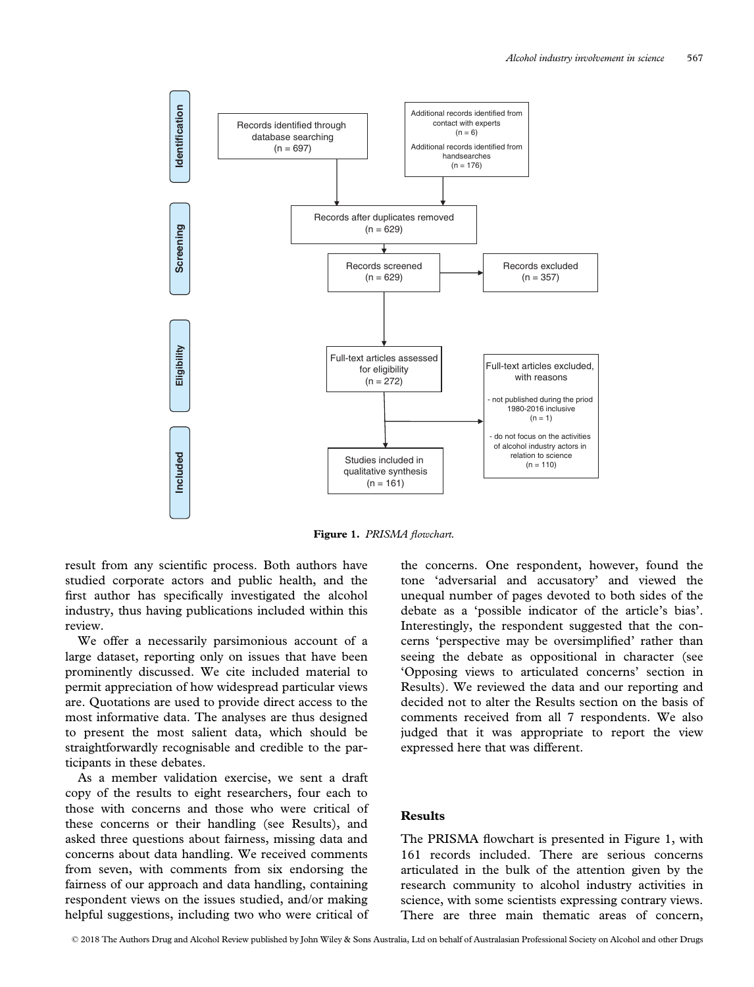

Figure 1. PRISMA flowchart.

result from any scientific process. Both authors have studied corporate actors and public health, and the first author has specifically investigated the alcohol industry, thus having publications included within this review.

We offer a necessarily parsimonious account of a large dataset, reporting only on issues that have been prominently discussed. We cite included material to permit appreciation of how widespread particular views are. Quotations are used to provide direct access to the most informative data. The analyses are thus designed to present the most salient data, which should be straightforwardly recognisable and credible to the participants in these debates.

As a member validation exercise, we sent a draft copy of the results to eight researchers, four each to those with concerns and those who were critical of these concerns or their handling (see Results), and asked three questions about fairness, missing data and concerns about data handling. We received comments from seven, with comments from six endorsing the fairness of our approach and data handling, containing respondent views on the issues studied, and/or making helpful suggestions, including two who were critical of

the concerns. One respondent, however, found the tone 'adversarial and accusatory' and viewed the unequal number of pages devoted to both sides of the debate as a 'possible indicator of the article's bias'. Interestingly, the respondent suggested that the concerns 'perspective may be oversimplified' rather than seeing the debate as oppositional in character (see 'Opposing views to articulated concerns' section in Results). We reviewed the data and our reporting and decided not to alter the Results section on the basis of comments received from all 7 respondents. We also judged that it was appropriate to report the view expressed here that was different.

#### Results

The PRISMA flowchart is presented in Figure 1, with 161 records included. There are serious concerns articulated in the bulk of the attention given by the research community to alcohol industry activities in science, with some scientists expressing contrary views. There are three main thematic areas of concern,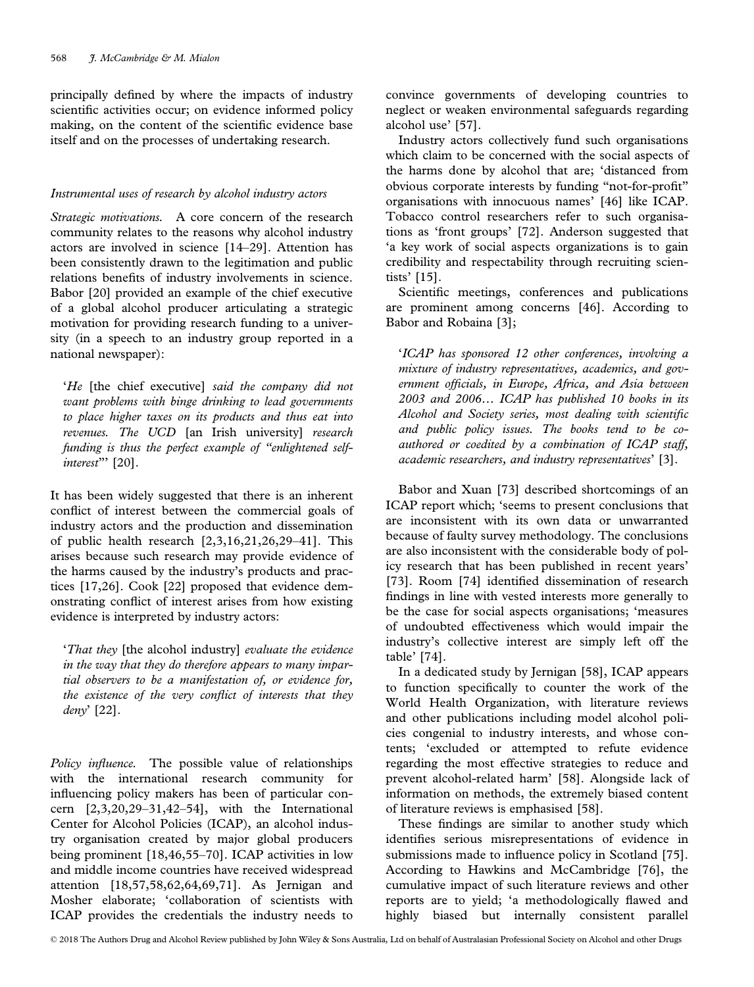principally defined by where the impacts of industry scientific activities occur; on evidence informed policy making, on the content of the scientific evidence base itself and on the processes of undertaking research.

# Instrumental uses of research by alcohol industry actors

Strategic motivations. A core concern of the research community relates to the reasons why alcohol industry actors are involved in science [14–29]. Attention has been consistently drawn to the legitimation and public relations benefits of industry involvements in science. Babor [20] provided an example of the chief executive of a global alcohol producer articulating a strategic motivation for providing research funding to a university (in a speech to an industry group reported in a national newspaper):

'He [the chief executive] said the company did not want problems with binge drinking to lead governments to place higher taxes on its products and thus eat into revenues. The UCD [an Irish university] research funding is thus the perfect example of "enlightened selfinterest"' [20].

It has been widely suggested that there is an inherent conflict of interest between the commercial goals of industry actors and the production and dissemination of public health research [2,3,16,21,26,29–41]. This arises because such research may provide evidence of the harms caused by the industry's products and practices [17,26]. Cook [22] proposed that evidence demonstrating conflict of interest arises from how existing evidence is interpreted by industry actors:

'That they [the alcohol industry] evaluate the evidence in the way that they do therefore appears to many impartial observers to be a manifestation of, or evidence for, the existence of the very conflict of interests that they deny' [22].

Policy influence. The possible value of relationships with the international research community for influencing policy makers has been of particular concern [2,3,20,29–31,42–54], with the International Center for Alcohol Policies (ICAP), an alcohol industry organisation created by major global producers being prominent [18,46,55–70]. ICAP activities in low and middle income countries have received widespread attention [18,57,58,62,64,69,71]. As Jernigan and Mosher elaborate; 'collaboration of scientists with ICAP provides the credentials the industry needs to

convince governments of developing countries to neglect or weaken environmental safeguards regarding alcohol use' [57].

Industry actors collectively fund such organisations which claim to be concerned with the social aspects of the harms done by alcohol that are; 'distanced from obvious corporate interests by funding "not-for-profit" organisations with innocuous names' [46] like ICAP. Tobacco control researchers refer to such organisations as 'front groups' [72]. Anderson suggested that 'a key work of social aspects organizations is to gain credibility and respectability through recruiting scientists' [15].

Scientific meetings, conferences and publications are prominent among concerns [46]. According to Babor and Robaina [3];

'ICAP has sponsored 12 other conferences, involving a mixture of industry representatives, academics, and government officials, in Europe, Africa, and Asia between 2003 and 2006… ICAP has published 10 books in its Alcohol and Society series, most dealing with scientific and public policy issues. The books tend to be coauthored or coedited by a combination of ICAP staff, academic researchers, and industry representatives' [3].

Babor and Xuan [73] described shortcomings of an ICAP report which; 'seems to present conclusions that are inconsistent with its own data or unwarranted because of faulty survey methodology. The conclusions are also inconsistent with the considerable body of policy research that has been published in recent years' [73]. Room [74] identified dissemination of research findings in line with vested interests more generally to be the case for social aspects organisations; 'measures of undoubted effectiveness which would impair the industry's collective interest are simply left off the table' [74].

In a dedicated study by Jernigan [58], ICAP appears to function specifically to counter the work of the World Health Organization, with literature reviews and other publications including model alcohol policies congenial to industry interests, and whose contents; 'excluded or attempted to refute evidence regarding the most effective strategies to reduce and prevent alcohol-related harm' [58]. Alongside lack of information on methods, the extremely biased content of literature reviews is emphasised [58].

These findings are similar to another study which identifies serious misrepresentations of evidence in submissions made to influence policy in Scotland [75]. According to Hawkins and McCambridge [76], the cumulative impact of such literature reviews and other reports are to yield; 'a methodologically flawed and highly biased but internally consistent parallel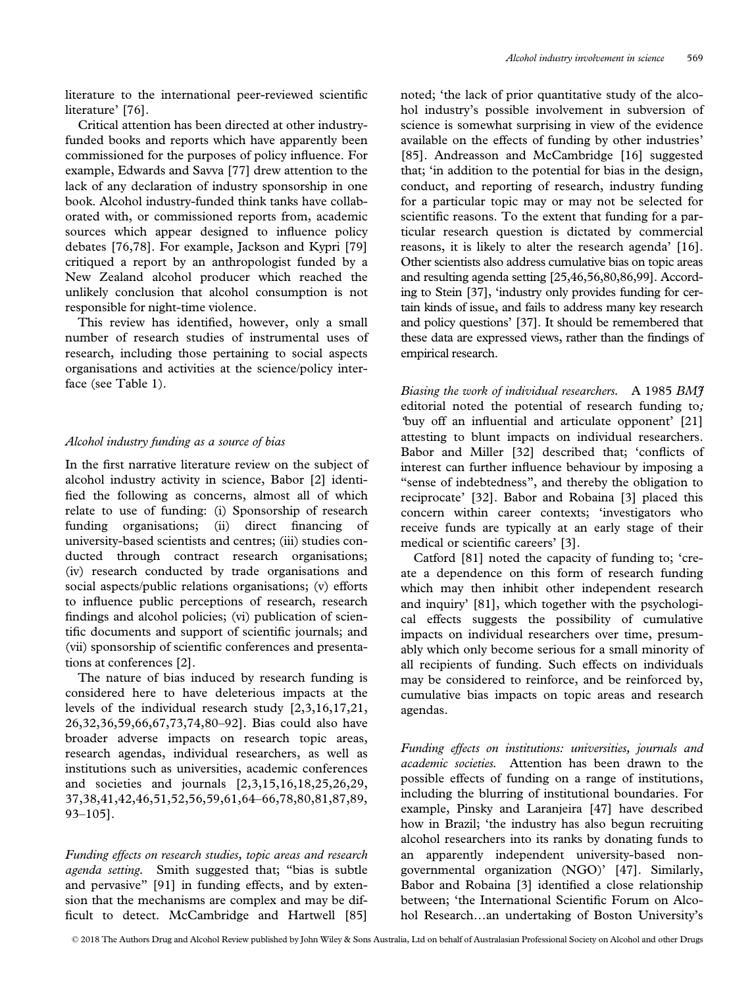literature to the international peer-reviewed scientific literature' [76].

Critical attention has been directed at other industryfunded books and reports which have apparently been commissioned for the purposes of policy influence. For example, Edwards and Savva [77] drew attention to the lack of any declaration of industry sponsorship in one book. Alcohol industry-funded think tanks have collaborated with, or commissioned reports from, academic sources which appear designed to influence policy debates [76,78]. For example, Jackson and Kypri [79] critiqued a report by an anthropologist funded by a New Zealand alcohol producer which reached the unlikely conclusion that alcohol consumption is not responsible for night-time violence.

This review has identified, however, only a small number of research studies of instrumental uses of research, including those pertaining to social aspects organisations and activities at the science/policy interface (see Table 1).

### Alcohol industry funding as a source of bias

In the first narrative literature review on the subject of alcohol industry activity in science, Babor [2] identified the following as concerns, almost all of which relate to use of funding: (i) Sponsorship of research funding organisations; (ii) direct financing of university-based scientists and centres; (iii) studies conducted through contract research organisations; (iv) research conducted by trade organisations and social aspects/public relations organisations; (v) efforts to influence public perceptions of research, research findings and alcohol policies; (vi) publication of scientific documents and support of scientific journals; and (vii) sponsorship of scientific conferences and presentations at conferences [2].

The nature of bias induced by research funding is considered here to have deleterious impacts at the levels of the individual research study [2,3,16,17,21, 26,32,36,59,66,67,73,74,80–92]. Bias could also have broader adverse impacts on research topic areas, research agendas, individual researchers, as well as institutions such as universities, academic conferences and societies and journals [2,3,15,16,18,25,26,29, 37,38,41,42,46,51,52,56,59,61,64–66,78,80,81,87,89, 93–105].

Funding effects on research studies, topic areas and research agenda setting. Smith suggested that; "bias is subtle and pervasive" [91] in funding effects, and by extension that the mechanisms are complex and may be difficult to detect. McCambridge and Hartwell [85] noted; 'the lack of prior quantitative study of the alcohol industry's possible involvement in subversion of science is somewhat surprising in view of the evidence available on the effects of funding by other industries' [85]. Andreasson and McCambridge [16] suggested that; 'in addition to the potential for bias in the design, conduct, and reporting of research, industry funding for a particular topic may or may not be selected for scientific reasons. To the extent that funding for a particular research question is dictated by commercial reasons, it is likely to alter the research agenda' [16]. Other scientists also address cumulative bias on topic areas and resulting agenda setting [25,46,56,80,86,99]. According to Stein [37], 'industry only provides funding for certain kinds of issue, and fails to address many key research and policy questions' [37]. It should be remembered that these data are expressed views, rather than the findings of empirical research.

Biasing the work of individual researchers. A 1985 BMJ editorial noted the potential of research funding to; 'buy off an influential and articulate opponent' [21] attesting to blunt impacts on individual researchers. Babor and Miller [32] described that; 'conflicts of interest can further influence behaviour by imposing a "sense of indebtedness", and thereby the obligation to reciprocate' [32]. Babor and Robaina [3] placed this concern within career contexts; 'investigators who receive funds are typically at an early stage of their medical or scientific careers' [3].

Catford [81] noted the capacity of funding to; 'create a dependence on this form of research funding which may then inhibit other independent research and inquiry' [81], which together with the psychological effects suggests the possibility of cumulative impacts on individual researchers over time, presumably which only become serious for a small minority of all recipients of funding. Such effects on individuals may be considered to reinforce, and be reinforced by, cumulative bias impacts on topic areas and research agendas.

Funding effects on institutions: universities, journals and academic societies. Attention has been drawn to the possible effects of funding on a range of institutions, including the blurring of institutional boundaries. For example, Pinsky and Laranjeira [47] have described how in Brazil; 'the industry has also begun recruiting alcohol researchers into its ranks by donating funds to an apparently independent university-based nongovernmental organization (NGO)' [47]. Similarly, Babor and Robaina [3] identified a close relationship between; 'the International Scientific Forum on Alcohol Research…an undertaking of Boston University's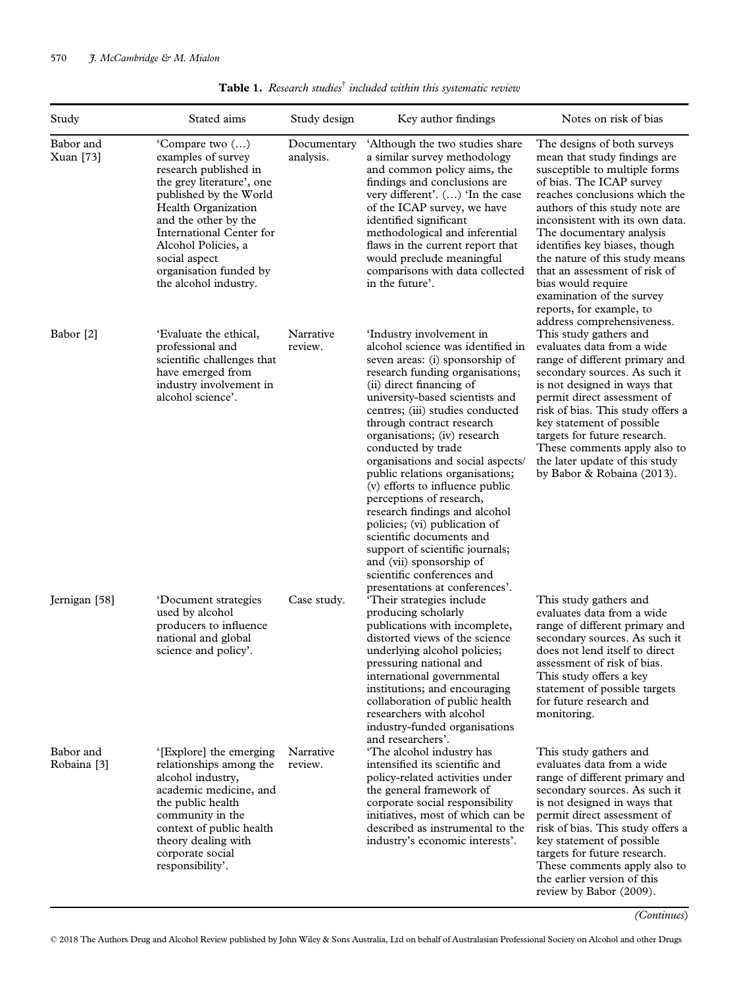| Study                    | Stated aims                                                                                                                                                                                                                                                                                 | Study design             | Key author findings                                                                                                                                                                                                                                                                                                                                                                                                                                                                                                                                                                                                                                                                           | Notes on risk of bias                                                                                                                                                                                                                                                                                                                                                                                                                          |
|--------------------------|---------------------------------------------------------------------------------------------------------------------------------------------------------------------------------------------------------------------------------------------------------------------------------------------|--------------------------|-----------------------------------------------------------------------------------------------------------------------------------------------------------------------------------------------------------------------------------------------------------------------------------------------------------------------------------------------------------------------------------------------------------------------------------------------------------------------------------------------------------------------------------------------------------------------------------------------------------------------------------------------------------------------------------------------|------------------------------------------------------------------------------------------------------------------------------------------------------------------------------------------------------------------------------------------------------------------------------------------------------------------------------------------------------------------------------------------------------------------------------------------------|
| Babor and<br>Xuan [73]   | 'Compare two ()<br>examples of survey<br>research published in<br>the grey literature', one<br>published by the World<br>Health Organization<br>and the other by the<br>International Center for<br>Alcohol Policies, a<br>social aspect<br>organisation funded by<br>the alcohol industry. | Documentary<br>analysis. | 'Although the two studies share<br>a similar survey methodology<br>and common policy aims, the<br>findings and conclusions are<br>very different'. () 'In the case<br>of the ICAP survey, we have<br>identified significant<br>methodological and inferential<br>flaws in the current report that<br>would preclude meaningful<br>comparisons with data collected<br>in the future'.                                                                                                                                                                                                                                                                                                          | The designs of both surveys<br>mean that study findings are.<br>susceptible to multiple forms<br>of bias. The ICAP survey<br>reaches conclusions which the<br>authors of this study note are<br>inconsistent with its own data.<br>The documentary analysis<br>identifies key biases, though<br>the nature of this study means<br>that an assessment of risk of<br>bias would require<br>examination of the survey<br>reports, for example, to |
| Babor [2]                | 'Evaluate the ethical,<br>professional and<br>scientific challenges that<br>have emerged from<br>industry involvement in<br>alcohol science'.                                                                                                                                               | Narrative<br>review.     | 'Industry involvement in<br>alcohol science was identified in<br>seven areas: (i) sponsorship of<br>research funding organisations;<br>(ii) direct financing of<br>university-based scientists and<br>centres; (iii) studies conducted<br>through contract research<br>organisations; (iv) research<br>conducted by trade<br>organisations and social aspects/<br>public relations organisations;<br>(v) efforts to influence public<br>perceptions of research,<br>research findings and alcohol<br>policies; (vi) publication of<br>scientific documents and<br>support of scientific journals;<br>and (vii) sponsorship of<br>scientific conferences and<br>presentations at conferences'. | address comprehensiveness.<br>This study gathers and<br>evaluates data from a wide<br>range of different primary and<br>secondary sources. As such it<br>is not designed in ways that<br>permit direct assessment of<br>risk of bias. This study offers a<br>key statement of possible<br>targets for future research.<br>These comments apply also to<br>the later update of this study<br>by Babor & Robaina (2013).                         |
| Jernigan [58]            | 'Document strategies<br>used by alcohol<br>producers to influence<br>national and global<br>science and policy'.                                                                                                                                                                            | Case study.              | 'Their strategies include<br>producing scholarly<br>publications with incomplete,<br>distorted views of the science<br>underlying alcohol policies;<br>pressuring national and<br>international governmental<br>institutions; and encouraging<br>collaboration of public health<br>researchers with alcohol<br>industry-funded organisations<br>and researchers'.                                                                                                                                                                                                                                                                                                                             | This study gathers and<br>evaluates data from a wide<br>range of different primary and<br>secondary sources. As such it<br>does not lend itself to direct<br>assessment of risk of bias.<br>This study offers a key<br>statement of possible targets<br>for future research and<br>monitoring.                                                                                                                                                 |
| Babor and<br>Robaina [3] | '[Explore] the emerging<br>relationships among the<br>alcohol industry,<br>academic medicine, and<br>the public health<br>community in the<br>context of public health<br>theory dealing with<br>corporate social<br>responsibility'.                                                       | Narrative<br>review.     | 'The alcohol industry has<br>intensified its scientific and<br>policy-related activities under<br>the general framework of<br>corporate social responsibility<br>initiatives, most of which can be<br>described as instrumental to the<br>industry's economic interests'.                                                                                                                                                                                                                                                                                                                                                                                                                     | This study gathers and<br>evaluates data from a wide<br>range of different primary and<br>secondary sources. As such it<br>is not designed in ways that<br>permit direct assessment of<br>risk of bias. This study offers a<br>key statement of possible<br>targets for future research.<br>These comments apply also to<br>the earlier version of this<br>review by Babor (2009).                                                             |

|  |  |  |  |  |  | Table 1. Research studies <sup>†</sup> included within this systematic review |  |
|--|--|--|--|--|--|-------------------------------------------------------------------------------|--|
|--|--|--|--|--|--|-------------------------------------------------------------------------------|--|

(Continues)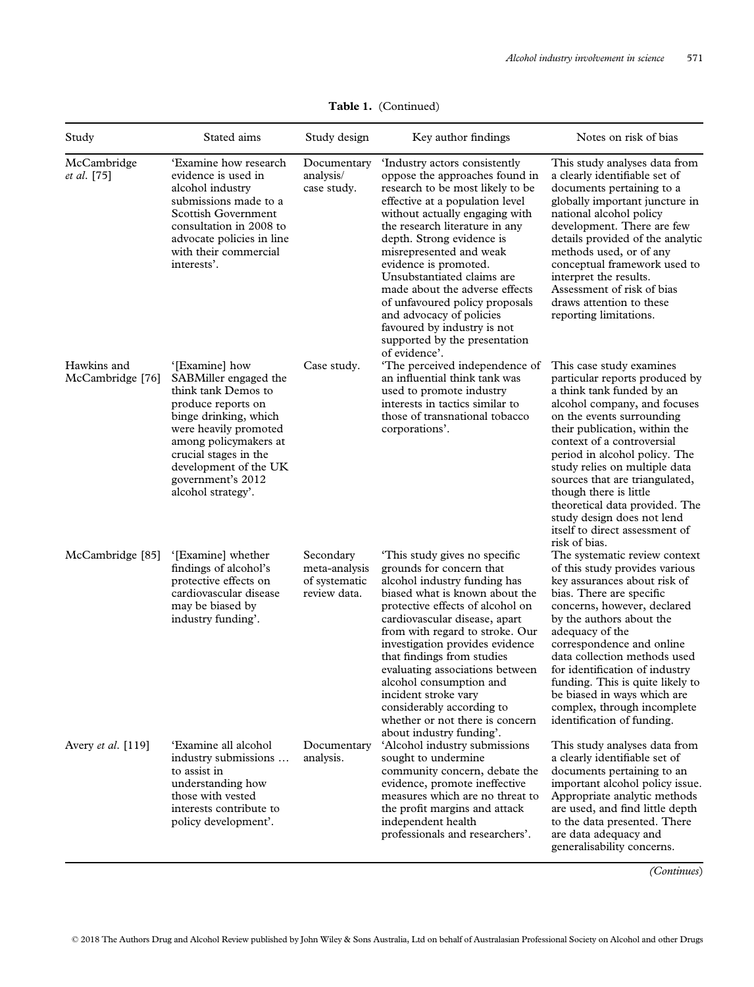| Study                           | Stated aims                                                                                                                                                                                                                                                  | Study design                                                | Key author findings                                                                                                                                                                                                                                                                                                                                                                                                                                                                                       | Notes on risk of bias                                                                                                                                                                                                                                                                                                                                                                                                                                                |
|---------------------------------|--------------------------------------------------------------------------------------------------------------------------------------------------------------------------------------------------------------------------------------------------------------|-------------------------------------------------------------|-----------------------------------------------------------------------------------------------------------------------------------------------------------------------------------------------------------------------------------------------------------------------------------------------------------------------------------------------------------------------------------------------------------------------------------------------------------------------------------------------------------|----------------------------------------------------------------------------------------------------------------------------------------------------------------------------------------------------------------------------------------------------------------------------------------------------------------------------------------------------------------------------------------------------------------------------------------------------------------------|
| McCambridge<br>et al. [75]      | 'Examine how research<br>evidence is used in<br>alcohol industry<br>submissions made to a<br>Scottish Government<br>consultation in 2008 to<br>advocate policies in line<br>with their commercial<br>interests'.                                             | Documentary<br>analysis/<br>case study.                     | Industry actors consistently<br>oppose the approaches found in<br>research to be most likely to be<br>effective at a population level<br>without actually engaging with<br>the research literature in any<br>depth. Strong evidence is<br>misrepresented and weak<br>evidence is promoted.<br>Unsubstantiated claims are<br>made about the adverse effects<br>of unfavoured policy proposals<br>and advocacy of policies<br>favoured by industry is not<br>supported by the presentation<br>of evidence'. | This study analyses data from<br>a clearly identifiable set of<br>documents pertaining to a<br>globally important juncture in<br>national alcohol policy<br>development. There are few<br>details provided of the analytic<br>methods used, or of any<br>conceptual framework used to<br>interpret the results.<br>Assessment of risk of bias<br>draws attention to these<br>reporting limitations.                                                                  |
| Hawkins and<br>McCambridge [76] | '[Examine] how<br>SABMiller engaged the<br>think tank Demos to<br>produce reports on<br>binge drinking, which<br>were heavily promoted<br>among policymakers at<br>crucial stages in the<br>development of the UK<br>government's 2012<br>alcohol strategy'. | Case study.                                                 | The perceived independence of<br>an influential think tank was<br>used to promote industry<br>interests in tactics similar to<br>those of transnational tobacco<br>corporations'.                                                                                                                                                                                                                                                                                                                         | This case study examines<br>particular reports produced by<br>a think tank funded by an<br>alcohol company, and focuses<br>on the events surrounding<br>their publication, within the<br>context of a controversial<br>period in alcohol policy. The<br>study relies on multiple data<br>sources that are triangulated,<br>though there is little<br>theoretical data provided. The<br>study design does not lend<br>itself to direct assessment of<br>risk of bias. |
| McCambridge [85]                | '[Examine] whether<br>findings of alcohol's<br>protective effects on<br>cardiovascular disease<br>may be biased by<br>industry funding'.                                                                                                                     | Secondary<br>meta-analysis<br>of systematic<br>review data. | 'This study gives no specific<br>grounds for concern that<br>alcohol industry funding has<br>biased what is known about the<br>protective effects of alcohol on<br>cardiovascular disease, apart<br>from with regard to stroke. Our<br>investigation provides evidence<br>that findings from studies<br>evaluating associations between<br>alcohol consumption and<br>incident stroke vary<br>considerably according to<br>whether or not there is concern                                                | The systematic review context<br>of this study provides various<br>key assurances about risk of<br>bias. There are specific<br>concerns, however, declared<br>by the authors about the<br>adequacy of the<br>correspondence and online<br>data collection methods used<br>for identification of industry<br>funding. This is quite likely to<br>be biased in ways which are<br>complex, through incomplete<br>identification of funding.                             |
| Avery et al. [119]              | 'Examine all alcohol<br>industry submissions<br>to assist in<br>understanding how<br>those with vested<br>interests contribute to<br>policy development'.                                                                                                    | Documentary<br>analysis.                                    | about industry funding'.<br>'Alcohol industry submissions<br>sought to undermine<br>community concern, debate the<br>evidence, promote ineffective<br>measures which are no threat to<br>the profit margins and attack<br>independent health<br>professionals and researchers'.                                                                                                                                                                                                                           | This study analyses data from<br>a clearly identifiable set of<br>documents pertaining to an<br>important alcohol policy issue.<br>Appropriate analytic methods<br>are used, and find little depth<br>to the data presented. There<br>are data adequacy and<br>generalisability concerns.                                                                                                                                                                            |

Table 1. (Continued)

(Continues)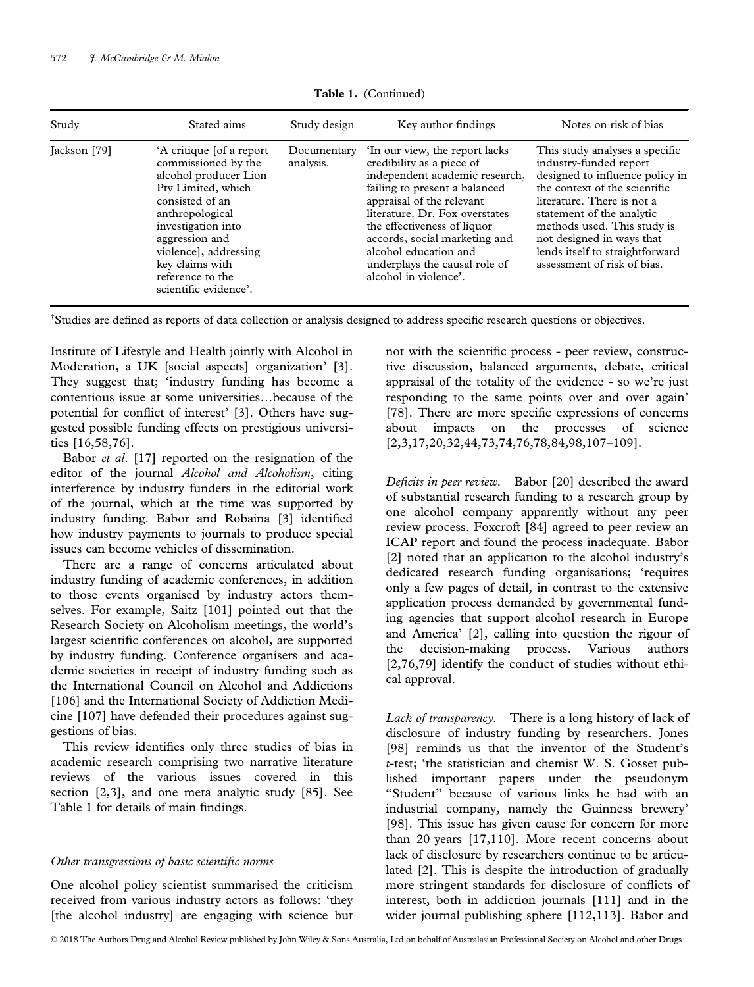| Study        | Stated aims                                                                                                                                                                                                                                                            | Study design             | Key author findings                                                                                                                                                                                                                                                                                                                             | Notes on risk of bias                                                                                                                                                                                                                                                                                                 |
|--------------|------------------------------------------------------------------------------------------------------------------------------------------------------------------------------------------------------------------------------------------------------------------------|--------------------------|-------------------------------------------------------------------------------------------------------------------------------------------------------------------------------------------------------------------------------------------------------------------------------------------------------------------------------------------------|-----------------------------------------------------------------------------------------------------------------------------------------------------------------------------------------------------------------------------------------------------------------------------------------------------------------------|
| Jackson [79] | 'A critique [of a report]<br>commissioned by the<br>alcohol producer Lion<br>Pty Limited, which<br>consisted of an<br>anthropological<br>investigation into<br>aggression and<br>violence], addressing<br>key claims with<br>reference to the<br>scientific evidence'. | Documentary<br>analysis. | In our view, the report lacks<br>credibility as a piece of<br>independent academic research,<br>failing to present a balanced<br>appraisal of the relevant<br>literature. Dr. Fox overstates<br>the effectiveness of liquor<br>accords, social marketing and<br>alcohol education and<br>underplays the causal role of<br>alcohol in violence'. | This study analyses a specific<br>industry-funded report<br>designed to influence policy in<br>the context of the scientific<br>literature. There is not a<br>statement of the analytic<br>methods used. This study is<br>not designed in ways that<br>lends itself to straightforward<br>assessment of risk of bias. |

Table 1. (Continued)

† Studies are defined as reports of data collection or analysis designed to address specific research questions or objectives.

Institute of Lifestyle and Health jointly with Alcohol in Moderation, a UK [social aspects] organization' [3]. They suggest that; 'industry funding has become a contentious issue at some universities…because of the potential for conflict of interest' [3]. Others have suggested possible funding effects on prestigious universities [16,58,76].

Babor et al. [17] reported on the resignation of the editor of the journal Alcohol and Alcoholism, citing interference by industry funders in the editorial work of the journal, which at the time was supported by industry funding. Babor and Robaina [3] identified how industry payments to journals to produce special issues can become vehicles of dissemination.

There are a range of concerns articulated about industry funding of academic conferences, in addition to those events organised by industry actors themselves. For example, Saitz [101] pointed out that the Research Society on Alcoholism meetings, the world's largest scientific conferences on alcohol, are supported by industry funding. Conference organisers and academic societies in receipt of industry funding such as the International Council on Alcohol and Addictions [106] and the International Society of Addiction Medicine [107] have defended their procedures against suggestions of bias.

This review identifies only three studies of bias in academic research comprising two narrative literature reviews of the various issues covered in this section [2,3], and one meta analytic study [85]. See Table 1 for details of main findings.

#### Other transgressions of basic scientific norms

One alcohol policy scientist summarised the criticism received from various industry actors as follows: 'they [the alcohol industry] are engaging with science but not with the scientific process - peer review, constructive discussion, balanced arguments, debate, critical appraisal of the totality of the evidence - so we're just responding to the same points over and over again' [78]. There are more specific expressions of concerns about impacts on the processes of science [2,3,17,20,32,44,73,74,76,78,84,98,107–109].

Deficits in peer review. Babor [20] described the award of substantial research funding to a research group by one alcohol company apparently without any peer review process. Foxcroft [84] agreed to peer review an ICAP report and found the process inadequate. Babor [2] noted that an application to the alcohol industry's dedicated research funding organisations; 'requires only a few pages of detail, in contrast to the extensive application process demanded by governmental funding agencies that support alcohol research in Europe and America' [2], calling into question the rigour of the decision-making process. Various authors [2,76,79] identify the conduct of studies without ethical approval.

Lack of transparency. There is a long history of lack of disclosure of industry funding by researchers. Jones [98] reminds us that the inventor of the Student's t-test; 'the statistician and chemist W. S. Gosset published important papers under the pseudonym "Student" because of various links he had with an industrial company, namely the Guinness brewery' [98]. This issue has given cause for concern for more than 20 years [17,110]. More recent concerns about lack of disclosure by researchers continue to be articulated [2]. This is despite the introduction of gradually more stringent standards for disclosure of conflicts of interest, both in addiction journals [111] and in the wider journal publishing sphere [112,113]. Babor and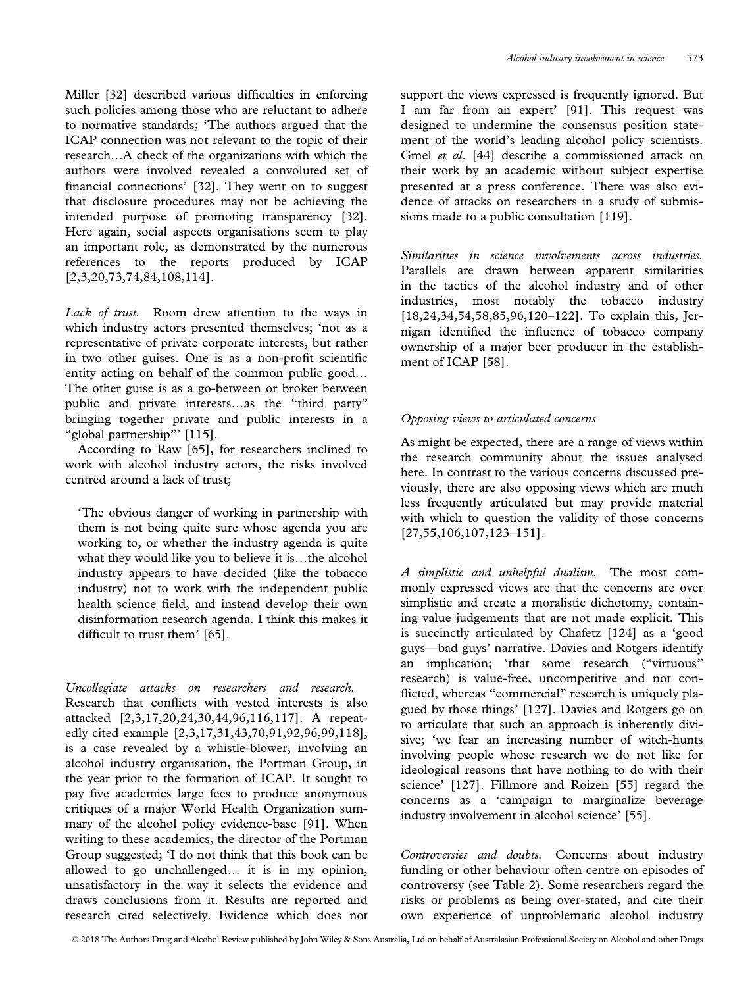Miller [32] described various difficulties in enforcing such policies among those who are reluctant to adhere to normative standards; 'The authors argued that the ICAP connection was not relevant to the topic of their research…A check of the organizations with which the authors were involved revealed a convoluted set of financial connections' [32]. They went on to suggest that disclosure procedures may not be achieving the intended purpose of promoting transparency [32]. Here again, social aspects organisations seem to play an important role, as demonstrated by the numerous references to the reports produced by ICAP [2,3,20,73,74,84,108,114].

Lack of trust. Room drew attention to the ways in which industry actors presented themselves; 'not as a representative of private corporate interests, but rather in two other guises. One is as a non-profit scientific entity acting on behalf of the common public good… The other guise is as a go-between or broker between public and private interests…as the "third party" bringing together private and public interests in a "global partnership"' [115].

According to Raw [65], for researchers inclined to work with alcohol industry actors, the risks involved centred around a lack of trust;

'The obvious danger of working in partnership with them is not being quite sure whose agenda you are working to, or whether the industry agenda is quite what they would like you to believe it is…the alcohol industry appears to have decided (like the tobacco industry) not to work with the independent public health science field, and instead develop their own disinformation research agenda. I think this makes it difficult to trust them' [65].

Uncollegiate attacks on researchers and research. Research that conflicts with vested interests is also attacked [2,3,17,20,24,30,44,96,116,117]. A repeatedly cited example [2,3,17,31,43,70,91,92,96,99,118], is a case revealed by a whistle-blower, involving an alcohol industry organisation, the Portman Group, in the year prior to the formation of ICAP. It sought to pay five academics large fees to produce anonymous critiques of a major World Health Organization summary of the alcohol policy evidence-base [91]. When writing to these academics, the director of the Portman Group suggested; 'I do not think that this book can be allowed to go unchallenged… it is in my opinion, unsatisfactory in the way it selects the evidence and draws conclusions from it. Results are reported and research cited selectively. Evidence which does not support the views expressed is frequently ignored. But I am far from an expert' [91]. This request was designed to undermine the consensus position statement of the world's leading alcohol policy scientists. Gmel et al. [44] describe a commissioned attack on their work by an academic without subject expertise presented at a press conference. There was also evidence of attacks on researchers in a study of submissions made to a public consultation [119].

Similarities in science involvements across industries. Parallels are drawn between apparent similarities in the tactics of the alcohol industry and of other industries, most notably the tobacco industry [18,24,34,54,58,85,96,120–122]. To explain this, Jernigan identified the influence of tobacco company ownership of a major beer producer in the establishment of ICAP [58].

# Opposing views to articulated concerns

As might be expected, there are a range of views within the research community about the issues analysed here. In contrast to the various concerns discussed previously, there are also opposing views which are much less frequently articulated but may provide material with which to question the validity of those concerns [27,55,106,107,123–151].

A simplistic and unhelpful dualism. The most commonly expressed views are that the concerns are over simplistic and create a moralistic dichotomy, containing value judgements that are not made explicit. This is succinctly articulated by Chafetz [124] as a 'good guys—bad guys' narrative. Davies and Rotgers identify an implication; 'that some research ("virtuous" research) is value-free, uncompetitive and not conflicted, whereas "commercial" research is uniquely plagued by those things' [127]. Davies and Rotgers go on to articulate that such an approach is inherently divisive; 'we fear an increasing number of witch-hunts involving people whose research we do not like for ideological reasons that have nothing to do with their science' [127]. Fillmore and Roizen [55] regard the concerns as a 'campaign to marginalize beverage industry involvement in alcohol science' [55].

Controversies and doubts. Concerns about industry funding or other behaviour often centre on episodes of controversy (see Table 2). Some researchers regard the risks or problems as being over-stated, and cite their own experience of unproblematic alcohol industry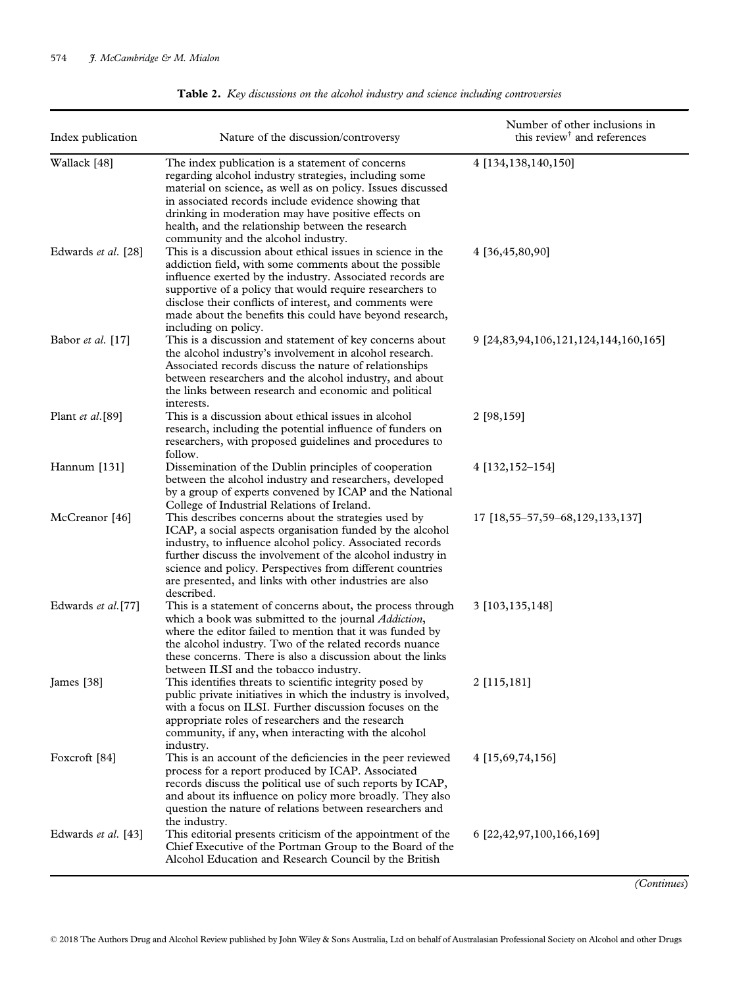| Index publication         | Nature of the discussion/controversy                                                                                                                                                                                                                                                                                                                                                                                                 | Number of other inclusions in<br>this review <sup>†</sup> and references |
|---------------------------|--------------------------------------------------------------------------------------------------------------------------------------------------------------------------------------------------------------------------------------------------------------------------------------------------------------------------------------------------------------------------------------------------------------------------------------|--------------------------------------------------------------------------|
| Wallack [48]              | The index publication is a statement of concerns<br>regarding alcohol industry strategies, including some<br>material on science, as well as on policy. Issues discussed<br>in associated records include evidence showing that<br>drinking in moderation may have positive effects on<br>health, and the relationship between the research                                                                                          | 4 [134,138,140,150]                                                      |
| Edwards et al. [28]       | community and the alcohol industry.<br>This is a discussion about ethical issues in science in the<br>addiction field, with some comments about the possible<br>influence exerted by the industry. Associated records are<br>supportive of a policy that would require researchers to<br>disclose their conflicts of interest, and comments were<br>made about the benefits this could have beyond research,<br>including on policy. | 4 [36,45,80,90]                                                          |
| Babor et al. [17]         | This is a discussion and statement of key concerns about<br>the alcohol industry's involvement in alcohol research.<br>Associated records discuss the nature of relationships<br>between researchers and the alcohol industry, and about<br>the links between research and economic and political<br>interests.                                                                                                                      | 9 [24,83,94,106,121,124,144,160,165]                                     |
| Plant et al.[89]          | This is a discussion about ethical issues in alcohol<br>research, including the potential influence of funders on<br>researchers, with proposed guidelines and procedures to<br>follow.                                                                                                                                                                                                                                              | 2 [98,159]                                                               |
| Hannum [131]              | Dissemination of the Dublin principles of cooperation<br>between the alcohol industry and researchers, developed<br>by a group of experts convened by ICAP and the National<br>College of Industrial Relations of Ireland.                                                                                                                                                                                                           | 4 [132,152-154]                                                          |
| McCreanor <sup>[46]</sup> | This describes concerns about the strategies used by<br>ICAP, a social aspects organisation funded by the alcohol<br>industry, to influence alcohol policy. Associated records<br>further discuss the involvement of the alcohol industry in<br>science and policy. Perspectives from different countries<br>are presented, and links with other industries are also<br>described.                                                   | 17 [18,55-57,59-68,129,133,137]                                          |
| Edwards et al.[77]        | This is a statement of concerns about, the process through<br>which a book was submitted to the journal <i>Addiction</i> ,<br>where the editor failed to mention that it was funded by<br>the alcohol industry. Two of the related records nuance<br>these concerns. There is also a discussion about the links<br>between ILSI and the tobacco industry.                                                                            | 3 [103,135,148]                                                          |
| James [38]                | This identifies threats to scientific integrity posed by<br>public private initiatives in which the industry is involved,<br>with a focus on ILSI. Further discussion focuses on the<br>appropriate roles of researchers and the research<br>community, if any, when interacting with the alcohol<br>industry.                                                                                                                       | 2 [115,181]                                                              |
| Foxcroft [84]             | This is an account of the deficiencies in the peer reviewed<br>process for a report produced by ICAP. Associated<br>records discuss the political use of such reports by ICAP,<br>and about its influence on policy more broadly. They also<br>question the nature of relations between researchers and<br>the industry.                                                                                                             | 4 [15,69,74,156]                                                         |
| Edwards et al. [43]       | This editorial presents criticism of the appointment of the<br>Chief Executive of the Portman Group to the Board of the<br>Alcohol Education and Research Council by the British                                                                                                                                                                                                                                                     | 6 [22,42,97,100,166,169]                                                 |

Table 2. Key discussions on the alcohol industry and science including controversies

(Continues)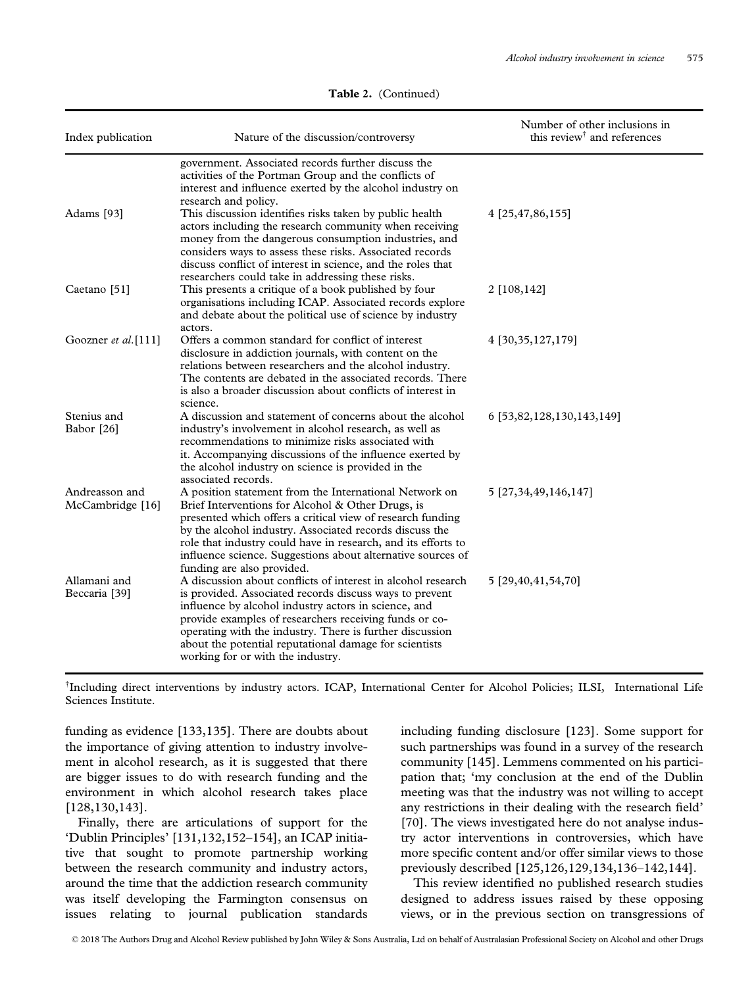|  |  |  | <b>Table 2.</b> (Continued) |
|--|--|--|-----------------------------|
|--|--|--|-----------------------------|

| Index publication                  | Nature of the discussion/controversy                                                                                                                                                                                                                                                                                                                                                                                               | Number of other inclusions in<br>this review <sup>†</sup> and references |
|------------------------------------|------------------------------------------------------------------------------------------------------------------------------------------------------------------------------------------------------------------------------------------------------------------------------------------------------------------------------------------------------------------------------------------------------------------------------------|--------------------------------------------------------------------------|
|                                    | government. Associated records further discuss the<br>activities of the Portman Group and the conflicts of<br>interest and influence exerted by the alcohol industry on<br>research and policy.                                                                                                                                                                                                                                    |                                                                          |
| Adams [93]                         | This discussion identifies risks taken by public health<br>actors including the research community when receiving<br>money from the dangerous consumption industries, and<br>considers ways to assess these risks. Associated records<br>discuss conflict of interest in science, and the roles that<br>researchers could take in addressing these risks.                                                                          | 4 [25,47,86,155]                                                         |
| Caetano <sup>[51]</sup>            | This presents a critique of a book published by four<br>organisations including ICAP. Associated records explore<br>and debate about the political use of science by industry<br>actors.                                                                                                                                                                                                                                           | 2 [108,142]                                                              |
| Goozner et al.[111]                | Offers a common standard for conflict of interest<br>disclosure in addiction journals, with content on the<br>relations between researchers and the alcohol industry.<br>The contents are debated in the associated records. There<br>is also a broader discussion about conflicts of interest in<br>science.                                                                                                                      | 4 [30, 35, 127, 179]                                                     |
| Stenius and<br>Babor [26]          | A discussion and statement of concerns about the alcohol<br>industry's involvement in alcohol research, as well as<br>recommendations to minimize risks associated with<br>it. Accompanying discussions of the influence exerted by<br>the alcohol industry on science is provided in the<br>associated records.                                                                                                                   | 6 [53,82,128,130,143,149]                                                |
| Andreasson and<br>McCambridge [16] | A position statement from the International Network on<br>Brief Interventions for Alcohol & Other Drugs, is<br>presented which offers a critical view of research funding<br>by the alcohol industry. Associated records discuss the<br>role that industry could have in research, and its efforts to<br>influence science. Suggestions about alternative sources of                                                               | 5 [27, 34, 49, 146, 147]                                                 |
| Allamani and<br>Beccaria [39]      | funding are also provided.<br>A discussion about conflicts of interest in alcohol research<br>is provided. Associated records discuss ways to prevent<br>influence by alcohol industry actors in science, and<br>provide examples of researchers receiving funds or co-<br>operating with the industry. There is further discussion<br>about the potential reputational damage for scientists<br>working for or with the industry. | 5 [29, 40, 41, 54, 70]                                                   |

† Including direct interventions by industry actors. ICAP, International Center for Alcohol Policies; ILSI, International Life Sciences Institute.

funding as evidence [133,135]. There are doubts about the importance of giving attention to industry involvement in alcohol research, as it is suggested that there are bigger issues to do with research funding and the environment in which alcohol research takes place [128,130,143].

Finally, there are articulations of support for the 'Dublin Principles' [131,132,152–154], an ICAP initiative that sought to promote partnership working between the research community and industry actors, around the time that the addiction research community was itself developing the Farmington consensus on issues relating to journal publication standards including funding disclosure [123]. Some support for such partnerships was found in a survey of the research community [145]. Lemmens commented on his participation that; 'my conclusion at the end of the Dublin meeting was that the industry was not willing to accept any restrictions in their dealing with the research field' [70]. The views investigated here do not analyse industry actor interventions in controversies, which have more specific content and/or offer similar views to those previously described [125,126,129,134,136–142,144].

This review identified no published research studies designed to address issues raised by these opposing views, or in the previous section on transgressions of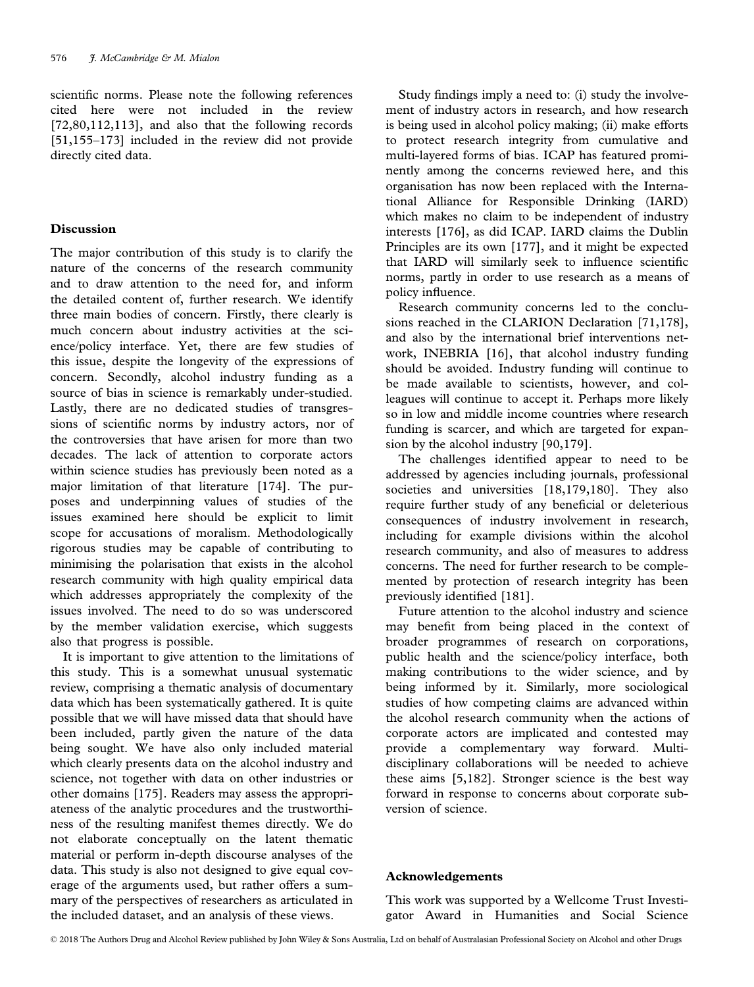scientific norms. Please note the following references cited here were not included in the review [72,80,112,113], and also that the following records [51,155–173] included in the review did not provide directly cited data.

# Discussion

The major contribution of this study is to clarify the nature of the concerns of the research community and to draw attention to the need for, and inform the detailed content of, further research. We identify three main bodies of concern. Firstly, there clearly is much concern about industry activities at the science/policy interface. Yet, there are few studies of this issue, despite the longevity of the expressions of concern. Secondly, alcohol industry funding as a source of bias in science is remarkably under-studied. Lastly, there are no dedicated studies of transgressions of scientific norms by industry actors, nor of the controversies that have arisen for more than two decades. The lack of attention to corporate actors within science studies has previously been noted as a major limitation of that literature [174]. The purposes and underpinning values of studies of the issues examined here should be explicit to limit scope for accusations of moralism. Methodologically rigorous studies may be capable of contributing to minimising the polarisation that exists in the alcohol research community with high quality empirical data which addresses appropriately the complexity of the issues involved. The need to do so was underscored by the member validation exercise, which suggests also that progress is possible.

It is important to give attention to the limitations of this study. This is a somewhat unusual systematic review, comprising a thematic analysis of documentary data which has been systematically gathered. It is quite possible that we will have missed data that should have been included, partly given the nature of the data being sought. We have also only included material which clearly presents data on the alcohol industry and science, not together with data on other industries or other domains [175]. Readers may assess the appropriateness of the analytic procedures and the trustworthiness of the resulting manifest themes directly. We do not elaborate conceptually on the latent thematic material or perform in-depth discourse analyses of the data. This study is also not designed to give equal coverage of the arguments used, but rather offers a summary of the perspectives of researchers as articulated in the included dataset, and an analysis of these views.

Study findings imply a need to: (i) study the involvement of industry actors in research, and how research is being used in alcohol policy making; (ii) make efforts to protect research integrity from cumulative and multi-layered forms of bias. ICAP has featured prominently among the concerns reviewed here, and this organisation has now been replaced with the International Alliance for Responsible Drinking (IARD) which makes no claim to be independent of industry interests [176], as did ICAP. IARD claims the Dublin Principles are its own [177], and it might be expected that IARD will similarly seek to influence scientific norms, partly in order to use research as a means of policy influence.

Research community concerns led to the conclusions reached in the CLARION Declaration [71,178], and also by the international brief interventions network, INEBRIA [16], that alcohol industry funding should be avoided. Industry funding will continue to be made available to scientists, however, and colleagues will continue to accept it. Perhaps more likely so in low and middle income countries where research funding is scarcer, and which are targeted for expansion by the alcohol industry [90,179].

The challenges identified appear to need to be addressed by agencies including journals, professional societies and universities [18,179,180]. They also require further study of any beneficial or deleterious consequences of industry involvement in research, including for example divisions within the alcohol research community, and also of measures to address concerns. The need for further research to be complemented by protection of research integrity has been previously identified [181].

Future attention to the alcohol industry and science may benefit from being placed in the context of broader programmes of research on corporations, public health and the science/policy interface, both making contributions to the wider science, and by being informed by it. Similarly, more sociological studies of how competing claims are advanced within the alcohol research community when the actions of corporate actors are implicated and contested may provide a complementary way forward. Multidisciplinary collaborations will be needed to achieve these aims [5,182]. Stronger science is the best way forward in response to concerns about corporate subversion of science.

# Acknowledgements

This work was supported by a Wellcome Trust Investigator Award in Humanities and Social Science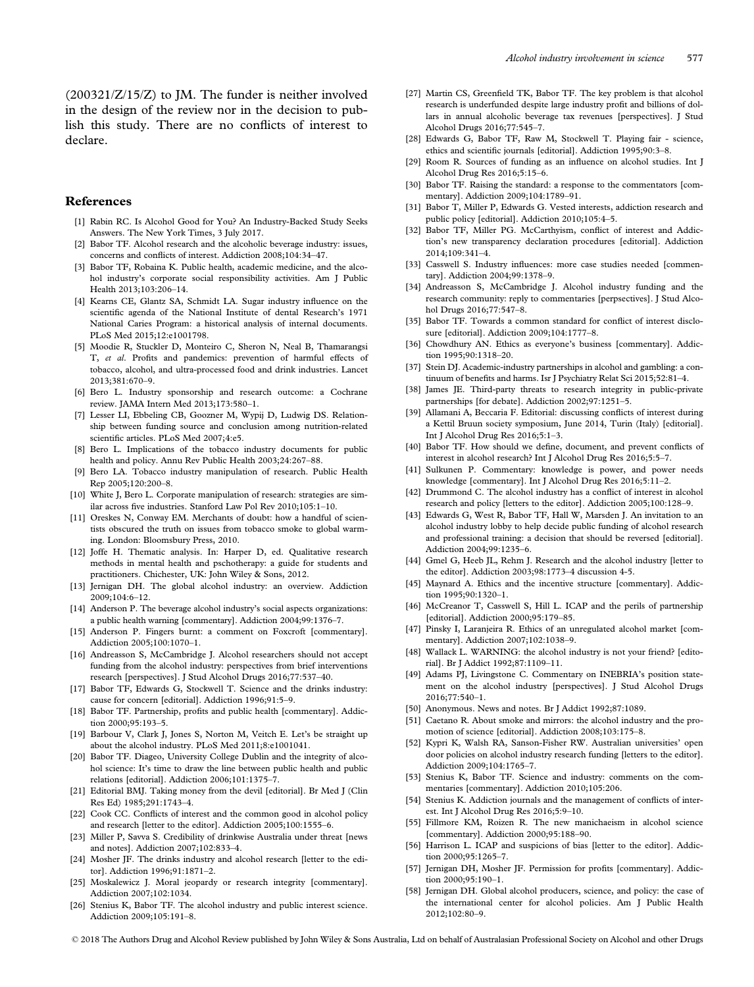$(200321/Z/15/Z)$  to IM. The funder is neither involved in the design of the review nor in the decision to publish this study. There are no conflicts of interest to declare.

#### References

- [1] Rabin RC. Is Alcohol Good for You? An Industry-Backed Study Seeks Answers. The New York Times, 3 July 2017.
- Babor TF. Alcohol research and the alcoholic beverage industry: issues, concerns and conflicts of interest. Addiction 2008;104:34–47.
- [3] Babor TF, Robaina K. Public health, academic medicine, and the alcohol industry's corporate social responsibility activities. Am J Public Health 2013;103:206–14.
- [4] Kearns CE, Glantz SA, Schmidt LA. Sugar industry influence on the scientific agenda of the National Institute of dental Research's 1971 National Caries Program: a historical analysis of internal documents. PLoS Med 2015;12:e1001798.
- [5] Moodie R, Stuckler D, Monteiro C, Sheron N, Neal B, Thamarangsi T, et al. Profits and pandemics: prevention of harmful effects of tobacco, alcohol, and ultra-processed food and drink industries. Lancet 2013;381:670–9.
- [6] Bero L. Industry sponsorship and research outcome: a Cochrane review. JAMA Intern Med 2013;173:580–1.
- [7] Lesser LI, Ebbeling CB, Goozner M, Wypij D, Ludwig DS. Relationship between funding source and conclusion among nutrition-related scientific articles. PLoS Med 2007;4:e5.
- [8] Bero L. Implications of the tobacco industry documents for public health and policy. Annu Rev Public Health 2003;24:267–88.
- [9] Bero LA. Tobacco industry manipulation of research. Public Health Rep 2005;120:200–8.
- [10] White J, Bero L. Corporate manipulation of research: strategies are similar across five industries. Stanford Law Pol Rev 2010;105:1–10.
- [11] Oreskes N, Conway EM. Merchants of doubt: how a handful of scientists obscured the truth on issues from tobacco smoke to global warming. London: Bloomsbury Press, 2010.
- [12] Joffe H. Thematic analysis. In: Harper D, ed. Qualitative research methods in mental health and pschotherapy: a guide for students and practitioners. Chichester, UK: John Wiley & Sons, 2012.
- [13] Jernigan DH. The global alcohol industry: an overview. Addiction 2009;104:6–12.
- [14] Anderson P. The beverage alcohol industry's social aspects organizations: a public health warning [commentary]. Addiction 2004;99:1376–7.
- [15] Anderson P. Fingers burnt: a comment on Foxcroft [commentary]. Addiction 2005;100:1070–1.
- [16] Andreasson S, McCambridge J. Alcohol researchers should not accept funding from the alcohol industry: perspectives from brief interventions research [perspectives]. J Stud Alcohol Drugs 2016;77:537–40.
- [17] Babor TF, Edwards G, Stockwell T. Science and the drinks industry: cause for concern [editorial]. Addiction 1996;91:5–9.
- [18] Babor TF. Partnership, profits and public health [commentary]. Addiction 2000;95:193–5.
- [19] Barbour V, Clark J, Jones S, Norton M, Veitch E. Let's be straight up about the alcohol industry. PLoS Med 2011;8:e1001041.
- [20] Babor TF. Diageo, University College Dublin and the integrity of alcohol science: It's time to draw the line between public health and public relations [editorial]. Addiction 2006;101:1375–7.
- [21] Editorial BMJ. Taking money from the devil [editorial]. Br Med J (Clin Res Ed) 1985;291:1743–4.
- [22] Cook CC. Conflicts of interest and the common good in alcohol policy and research [letter to the editor]. Addiction 2005;100:1555–6.
- [23] Miller P, Savva S. Credibility of drinkwise Australia under threat [news and notes]. Addiction 2007;102:833–4.
- [24] Mosher JF. The drinks industry and alcohol research [letter to the editor]. Addiction 1996;91:1871–2.
- [25] Moskalewicz J. Moral jeopardy or research integrity [commentary]. Addiction 2007;102:1034.
- [26] Stenius K, Babor TF. The alcohol industry and public interest science. Addiction 2009;105:191–8.
- [27] Martin CS, Greenfield TK, Babor TF. The key problem is that alcohol research is underfunded despite large industry profit and billions of dollars in annual alcoholic beverage tax revenues [perspectives]. J Stud Alcohol Drugs 2016;77:545–7.
- [28] Edwards G, Babor TF, Raw M, Stockwell T. Playing fair science, ethics and scientific journals [editorial]. Addiction 1995;90:3–8.
- [29] Room R. Sources of funding as an influence on alcohol studies. Int J Alcohol Drug Res 2016;5:15–6.
- [30] Babor TF. Raising the standard: a response to the commentators [commentary]. Addiction 2009;104:1789–91.
- [31] Babor T, Miller P, Edwards G. Vested interests, addiction research and public policy [editorial]. Addiction 2010;105:4–5.
- [32] Babor TF, Miller PG. McCarthyism, conflict of interest and Addiction's new transparency declaration procedures [editorial]. Addiction 2014;109:341–4.
- [33] Casswell S. Industry influences: more case studies needed [commentary]. Addiction 2004;99:1378–9.
- [34] Andreasson S, McCambridge J. Alcohol industry funding and the research community: reply to commentaries [perpsectives]. J Stud Alcohol Drugs 2016;77:547–8.
- [35] Babor TF. Towards a common standard for conflict of interest disclosure [editorial]. Addiction 2009;104:1777–8.
- [36] Chowdhury AN. Ethics as everyone's business [commentary]. Addiction 1995;90:1318–20.
- [37] Stein DJ. Academic-industry partnerships in alcohol and gambling: a continuum of benefits and harms. Isr J Psychiatry Relat Sci 2015;52:81–4.
- [38] James JE. Third-party threats to research integrity in public-private partnerships [for debate]. Addiction 2002;97:1251–5.
- [39] Allamani A, Beccaria F. Editorial: discussing conflicts of interest during a Kettil Bruun society symposium, June 2014, Turin (Italy) [editorial]. Int J Alcohol Drug Res 2016;5:1–3.
- [40] Babor TF. How should we define, document, and prevent conflicts of interest in alcohol research? Int J Alcohol Drug Res 2016;5:5–7.
- [41] Sulkunen P. Commentary: knowledge is power, and power needs knowledge [commentary]. Int J Alcohol Drug Res 2016;5:11–2.
- [42] Drummond C. The alcohol industry has a conflict of interest in alcohol research and policy [letters to the editor]. Addiction 2005;100:128–9.
- [43] Edwards G, West R, Babor TF, Hall W, Marsden J. An invitation to an alcohol industry lobby to help decide public funding of alcohol research and professional training: a decision that should be reversed [editorial]. Addiction 2004;99:1235–6.
- [44] Gmel G, Heeb JL, Rehm J. Research and the alcohol industry [letter to the editor]. Addiction 2003;98:1773–4 discussion 4-5.
- [45] Maynard A. Ethics and the incentive structure [commentary]. Addiction 1995;90:1320–1.
- [46] McCreanor T, Casswell S, Hill L. ICAP and the perils of partnership [editorial]. Addiction 2000;95:179–85.
- [47] Pinsky I, Laranieira R. Ethics of an unregulated alcohol market [commentary]. Addiction 2007;102:1038–9.
- [48] Wallack L. WARNING: the alcohol industry is not your friend? [editorial]. Br J Addict 1992;87:1109–11.
- [49] Adams PJ, Livingstone C. Commentary on INEBRIA's position statement on the alcohol industry [perspectives]. J Stud Alcohol Drugs 2016;77:540–1.
- [50] Anonymous. News and notes. Br J Addict 1992;87:1089.
- [51] Caetano R. About smoke and mirrors: the alcohol industry and the promotion of science [editorial]. Addiction 2008;103:175–8.
- [52] Kypri K, Walsh RA, Sanson-Fisher RW. Australian universities' open door policies on alcohol industry research funding [letters to the editor]. Addiction 2009;104:1765–7.
- [53] Stenius K, Babor TF. Science and industry: comments on the commentaries [commentary]. Addiction 2010;105:206.
- [54] Stenius K. Addiction journals and the management of conflicts of interest. Int J Alcohol Drug Res 2016;5:9–10.
- [55] Fillmore KM, Roizen R. The new manichaeism in alcohol science [commentary]. Addiction 2000;95:188–90.
- [56] Harrison L. ICAP and suspicions of bias [letter to the editor]. Addiction 2000;95:1265–7.
- [57] Jernigan DH, Mosher JF. Permission for profits [commentary]. Addiction 2000;95:190–1.
- [58] Jernigan DH. Global alcohol producers, science, and policy: the case of the international center for alcohol policies. Am J Public Health 2012;102:80–9.

© 2018 The Authors Drug and Alcohol Review published by John Wiley & Sons Australia, Ltd on behalf of Australasian Professional Society on Alcohol and other Drugs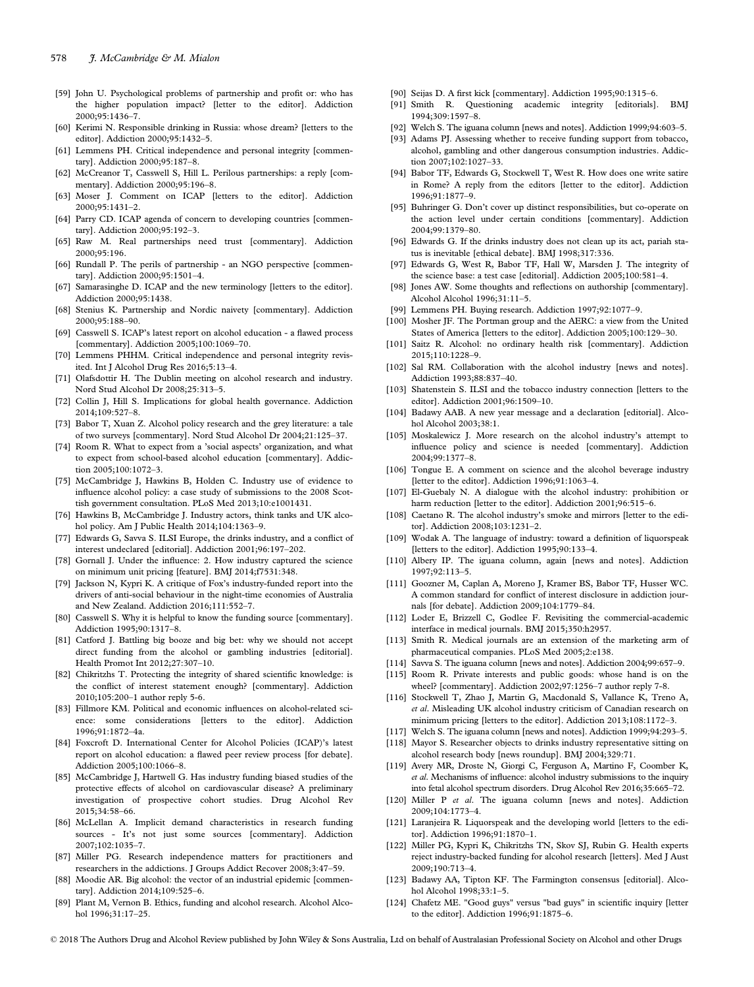- [59] John U. Psychological problems of partnership and profit or: who has the higher population impact? [letter to the editor]. Addiction 2000;95:1436–7.
- [60] Kerimi N. Responsible drinking in Russia: whose dream? [letters to the editor]. Addiction 2000;95:1432–5.
- [61] Lemmens PH. Critical independence and personal integrity [commentary]. Addiction 2000;95:187–8.
- [62] McCreanor T, Casswell S, Hill L. Perilous partnerships: a reply [commentary]. Addiction 2000;95:196–8.
- [63] Moser J. Comment on ICAP [letters to the editor]. Addiction 2000;95:1431–2.
- [64] Parry CD. ICAP agenda of concern to developing countries [commentary]. Addiction 2000;95:192–3.
- [65] Raw M. Real partnerships need trust [commentary]. Addiction 2000;95:196.
- [66] Rundall P. The perils of partnership an NGO perspective [commentary]. Addiction 2000;95:1501–4.
- [67] Samarasinghe D. ICAP and the new terminology [letters to the editor]. Addiction 2000;95:1438.
- [68] Stenius K. Partnership and Nordic naivety [commentary]. Addiction 2000;95:188–90.
- [69] Casswell S. ICAP's latest report on alcohol education a flawed process [commentary]. Addiction 2005;100:1069–70.
- [70] Lemmens PHHM. Critical independence and personal integrity revisited. Int J Alcohol Drug Res 2016;5:13–4.
- [71] Olafsdottir H. The Dublin meeting on alcohol research and industry. Nord Stud Alcohol Dr 2008;25:313–5.
- [72] Collin J, Hill S. Implications for global health governance. Addiction 2014;109:527–8.
- [73] Babor T, Xuan Z. Alcohol policy research and the grey literature: a tale of two surveys [commentary]. Nord Stud Alcohol Dr 2004;21:125–37.
- [74] Room R. What to expect from a 'social aspects' organization, and what to expect from school-based alcohol education [commentary]. Addiction 2005;100:1072–3.
- [75] McCambridge J, Hawkins B, Holden C. Industry use of evidence to influence alcohol policy: a case study of submissions to the 2008 Scottish government consultation. PLoS Med 2013;10:e1001431.
- [76] Hawkins B, McCambridge J. Industry actors, think tanks and UK alcohol policy. Am J Public Health 2014;104:1363–9.
- [77] Edwards G, Savva S. ILSI Europe, the drinks industry, and a conflict of interest undeclared [editorial]. Addiction 2001;96:197–202.
- [78] Gornall J. Under the influence: 2. How industry captured the science on minimum unit pricing [feature]. BMJ 2014;f7531:348.
- [79] Jackson N, Kypri K. A critique of Fox's industry-funded report into the drivers of anti-social behaviour in the night-time economies of Australia and New Zealand. Addiction 2016;111:552–7.
- [80] Casswell S. Why it is helpful to know the funding source [commentary]. Addiction 1995;90:1317–8.
- [81] Catford J. Battling big booze and big bet: why we should not accept direct funding from the alcohol or gambling industries [editorial]. Health Promot Int 2012;27:307–10.
- [82] Chikritzhs T. Protecting the integrity of shared scientific knowledge: is the conflict of interest statement enough? [commentary]. Addiction 2010;105:200–1 author reply 5-6.
- [83] Fillmore KM. Political and economic influences on alcohol-related science: some considerations [letters to the editor]. Addiction 1996;91:1872–4a.
- [84] Foxcroft D. International Center for Alcohol Policies (ICAP)'s latest report on alcohol education: a flawed peer review process [for debate]. Addiction 2005;100:1066–8.
- [85] McCambridge J, Hartwell G. Has industry funding biased studies of the protective effects of alcohol on cardiovascular disease? A preliminary investigation of prospective cohort studies. Drug Alcohol Rev 2015;34:58–66.
- [86] McLellan A. Implicit demand characteristics in research funding sources - It's not just some sources [commentary]. Addiction 2007;102:1035–7.
- [87] Miller PG. Research independence matters for practitioners and researchers in the addictions. J Groups Addict Recover 2008;3:47–59.
- [88] Moodie AR. Big alcohol: the vector of an industrial epidemic [commentary]. Addiction 2014;109:525–6.
- [89] Plant M, Vernon B. Ethics, funding and alcohol research. Alcohol Alcohol 1996;31:17–25.
- [90] Seijas D. A first kick [commentary]. Addiction 1995;90:1315–6.
- [91] Smith R. Questioning academic integrity [editorials]. BMJ 1994;309:1597–8.
- [92] Welch S. The iguana column [news and notes]. Addiction 1999;94:603–5.
- [93] Adams PJ. Assessing whether to receive funding support from tobacco, alcohol, gambling and other dangerous consumption industries. Addiction 2007;102:1027–33.
- [94] Babor TF, Edwards G, Stockwell T, West R. How does one write satire in Rome? A reply from the editors [letter to the editor]. Addiction 1996;91:1877–9.
- [95] Buhringer G. Don't cover up distinct responsibilities, but co-operate on the action level under certain conditions [commentary]. Addiction 2004;99:1379–80.
- [96] Edwards G. If the drinks industry does not clean up its act, pariah status is inevitable [ethical debate]. BMJ 1998;317:336.
- [97] Edwards G, West R, Babor TF, Hall W, Marsden J. The integrity of the science base: a test case [editorial]. Addiction 2005;100:581–4.
- [98] Jones AW. Some thoughts and reflections on authorship [commentary]. Alcohol Alcohol 1996;31:11–5.
- [99] Lemmens PH. Buying research. Addiction 1997;92:1077–9.
- [100] Mosher JF. The Portman group and the AERC: a view from the United States of America [letters to the editor]. Addiction 2005;100:129–30.
- [101] Saitz R. Alcohol: no ordinary health risk [commentary]. Addiction 2015;110:1228–9.
- [102] Sal RM. Collaboration with the alcohol industry [news and notes]. Addiction 1993;88:837–40.
- [103] Shatenstein S. ILSI and the tobacco industry connection [letters to the editor]. Addiction 2001;96:1509–10.
- [104] Badawy AAB. A new year message and a declaration [editorial]. Alcohol Alcohol 2003;38:1.
- [105] Moskalewicz J. More research on the alcohol industry's attempt to influence policy and science is needed [commentary]. Addiction 2004;99:1377–8.
- [106] Tongue E. A comment on science and the alcohol beverage industry [letter to the editor]. Addiction 1996;91:1063–4.
- [107] El-Guebaly N. A dialogue with the alcohol industry: prohibition or harm reduction [letter to the editor]. Addiction 2001;96:515–6.
- [108] Caetano R. The alcohol industry's smoke and mirrors [letter to the editor]. Addiction 2008;103:1231–2.
- [109] Wodak A. The language of industry: toward a definition of liquorspeak [letters to the editor]. Addiction 1995;90:133–4.
- [110] Albery IP. The iguana column, again [news and notes]. Addiction 1997;92:113–5.
- [111] Goozner M, Caplan A, Moreno J, Kramer BS, Babor TF, Husser WC. A common standard for conflict of interest disclosure in addiction journals [for debate]. Addiction 2009;104:1779–84.
- [112] Loder E, Brizzell C, Godlee F. Revisiting the commercial-academic interface in medical journals. BMJ 2015;350:h2957.
- [113] Smith R. Medical journals are an extension of the marketing arm of pharmaceutical companies. PLoS Med 2005;2:e138.
- [114] Savva S. The iguana column [news and notes]. Addiction 2004;99:657–9.
- [115] Room R. Private interests and public goods: whose hand is on the wheel? [commentary]. Addiction 2002;97:1256–7 author reply 7-8.
- [116] Stockwell T, Zhao J, Martin G, Macdonald S, Vallance K, Treno A, et al. Misleading UK alcohol industry criticism of Canadian research on minimum pricing [letters to the editor]. Addiction 2013;108:1172–3.
- [117] Welch S. The iguana column [news and notes]. Addiction 1999;94:293–5.
- [118] Mayor S. Researcher objects to drinks industry representative sitting on alcohol research body [news roundup]. BMJ 2004;329:71.
- [119] Avery MR, Droste N, Giorgi C, Ferguson A, Martino F, Coomber K, et al. Mechanisms of influence: alcohol industry submissions to the inquiry into fetal alcohol spectrum disorders. Drug Alcohol Rev 2016;35:665–72.
- [120] Miller P et al. The iguana column [news and notes]. Addiction 2009;104:1773–4.
- [121] Laranjeira R. Liquorspeak and the developing world [letters to the editor]. Addiction 1996;91:1870–1.
- [122] Miller PG, Kypri K, Chikritzhs TN, Skov SJ, Rubin G. Health experts reject industry-backed funding for alcohol research [letters]. Med J Aust 2009;190:713–4.
- [123] Badawy AA, Tipton KF. The Farmington consensus [editorial]. Alcohol Alcohol 1998;33:1–5.
- [124] Chafetz ME. "Good guys" versus "bad guys" in scientific inquiry [letter to the editor]. Addiction 1996;91:1875–6.